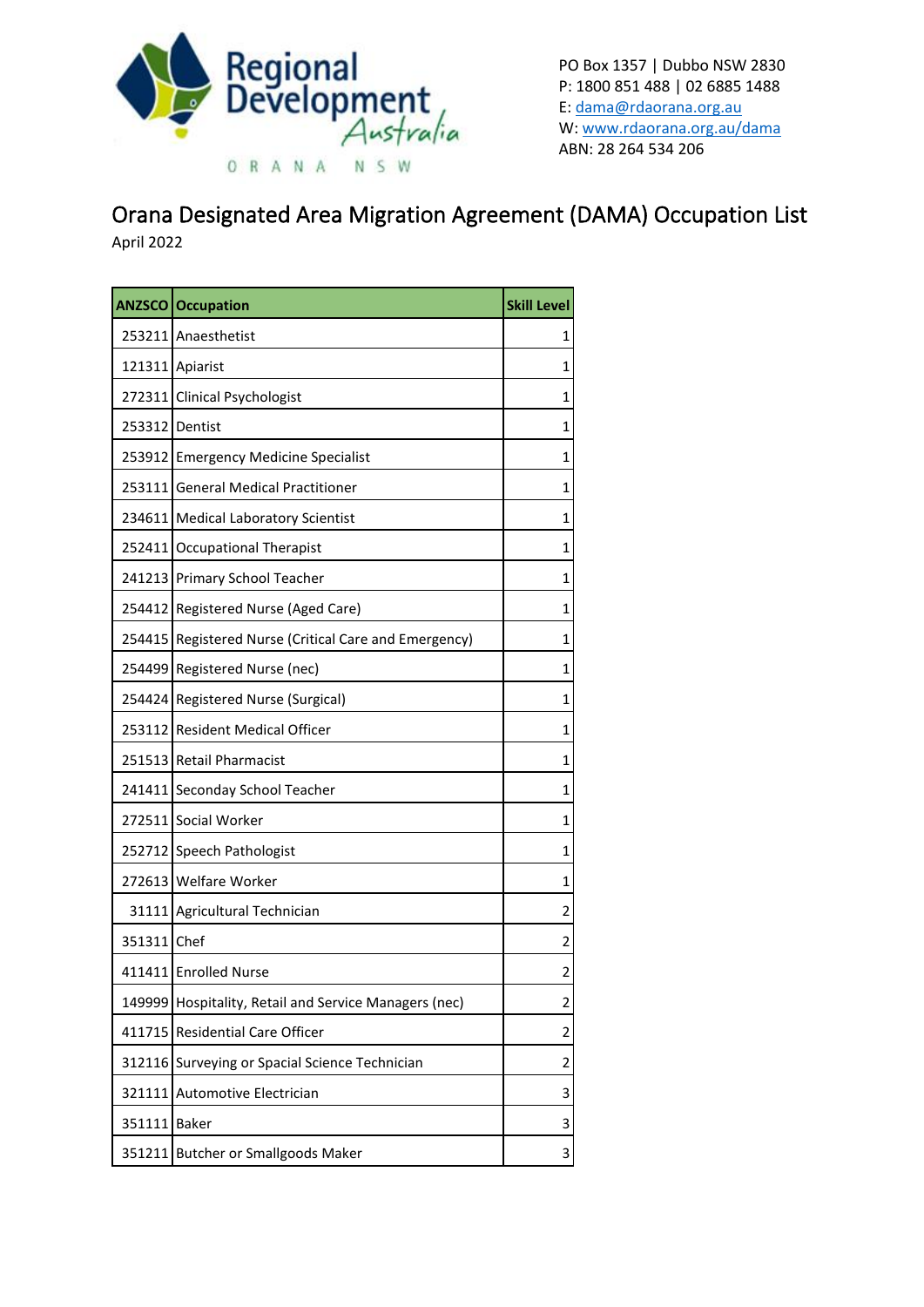

PO Box 1357 | Dubbo NSW 2830 P: 1800 851 488 | 02 6885 1488 E: [dama@rdaorana.org.au](mailto:dama@rdaorana.org.au) W: [www.rdaorana.org.au/dama](http://www.rdaorana.org.au/dama) ABN: 28 264 534 206

## Orana Designated Area Migration Agreement (DAMA) Occupation List

April 2022

|              | <b>ANZSCO Occupation</b>                              | <b>Skill Level</b> |
|--------------|-------------------------------------------------------|--------------------|
|              | 253211 Anaesthetist                                   | 1                  |
|              | 121311 Apiarist                                       | 1                  |
|              | 272311 Clinical Psychologist                          | 1                  |
|              | 253312 Dentist                                        | 1                  |
|              | 253912 Emergency Medicine Specialist                  | 1                  |
|              | 253111 General Medical Practitioner                   | 1                  |
|              | 234611 Medical Laboratory Scientist                   | 1                  |
|              | 252411 Occupational Therapist                         | 1                  |
|              | 241213 Primary School Teacher                         | 1                  |
|              | 254412 Registered Nurse (Aged Care)                   | 1                  |
|              | 254415 Registered Nurse (Critical Care and Emergency) | 1                  |
|              | 254499 Registered Nurse (nec)                         | 1                  |
| 254424       | Registered Nurse (Surgical)                           | 1                  |
|              | 253112 Resident Medical Officer                       | 1                  |
|              | 251513 Retail Pharmacist                              | 1                  |
|              | 241411 Seconday School Teacher                        | 1                  |
|              | 272511 Social Worker                                  | 1                  |
|              | 252712 Speech Pathologist                             | 1                  |
|              | 272613 Welfare Worker                                 | 1                  |
|              | 31111 Agricultural Technician                         | 2                  |
| 351311 Chef  |                                                       | 2                  |
|              | 411411 Enrolled Nurse                                 | 2                  |
|              | 149999 Hospitality, Retail and Service Managers (nec) | 2                  |
| 411715       | <b>Residential Care Officer</b>                       | 2                  |
| 312116       | Surveying or Spacial Science Technician               | 2                  |
| 321111       | Automotive Electrician                                | 3                  |
| 351111 Baker |                                                       | 3                  |
|              | 351211 Butcher or Smallgoods Maker                    | 3                  |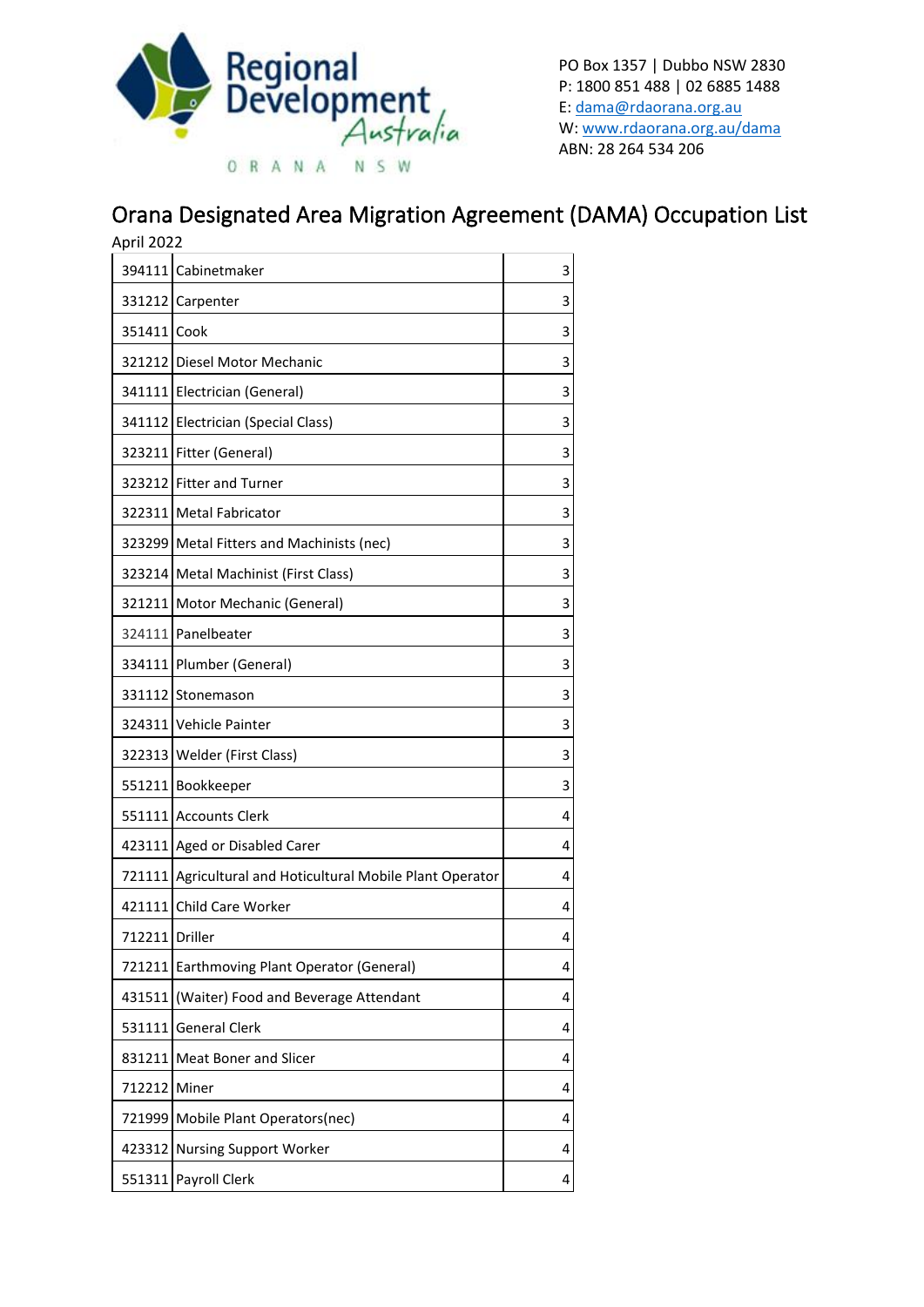

PO Box 1357 | Dubbo NSW 2830 P: 1800 851 488 | 02 6885 1488 E: [dama@rdaorana.org.au](mailto:dama@rdaorana.org.au) W: [www.rdaorana.org.au/dama](http://www.rdaorana.org.au/dama) ABN: 28 264 534 206

## Orana Designated Area Migration Agreement (DAMA) Occupation List

| April 2022     |                                                            |                         |
|----------------|------------------------------------------------------------|-------------------------|
|                | 394111 Cabinetmaker                                        | 3                       |
|                | 331212 Carpenter                                           | 3                       |
| 351411 Cook    |                                                            | 3                       |
|                | 321212 Diesel Motor Mechanic                               | 3                       |
|                | 341111 Electrician (General)                               | 3                       |
| 341112         | Electrician (Special Class)                                | 3                       |
|                | 323211 Fitter (General)                                    | 3                       |
|                | 323212 Fitter and Turner                                   | 3                       |
|                | 322311 Metal Fabricator                                    | 3                       |
|                | 323299 Metal Fitters and Machinists (nec)                  | 3                       |
|                | 323214 Metal Machinist (First Class)                       | 3                       |
|                | 321211 Motor Mechanic (General)                            | 3                       |
|                | 324111 Panelbeater                                         | 3                       |
| 334111         | Plumber (General)                                          | 3                       |
|                | 331112 Stonemason                                          | 3                       |
|                | 324311 Vehicle Painter                                     | 3                       |
|                | 322313   Welder (First Class)                              | 3                       |
| 551211         | Bookkeeper                                                 | 3                       |
|                | 551111 Accounts Clerk                                      | 4                       |
|                | 423111 Aged or Disabled Carer                              | 4                       |
|                | 721111 Agricultural and Hoticultural Mobile Plant Operator | 4                       |
|                | 421111 Child Care Worker                                   | 4                       |
| 712211 Driller |                                                            | $\overline{\mathbf{4}}$ |
| 721211         | Earthmoving Plant Operator (General)                       | 4                       |
| 431511         | (Waiter) Food and Beverage Attendant                       | 4                       |
| 531111         | <b>General Clerk</b>                                       | 4                       |
| 831211         | Meat Boner and Slicer                                      | 4                       |
| 712212         | Miner                                                      | 4                       |
| 721999         | Mobile Plant Operators(nec)                                | 4                       |
| 423312         | <b>Nursing Support Worker</b>                              | 4                       |
| 551311         | Payroll Clerk                                              | 4                       |
|                |                                                            |                         |